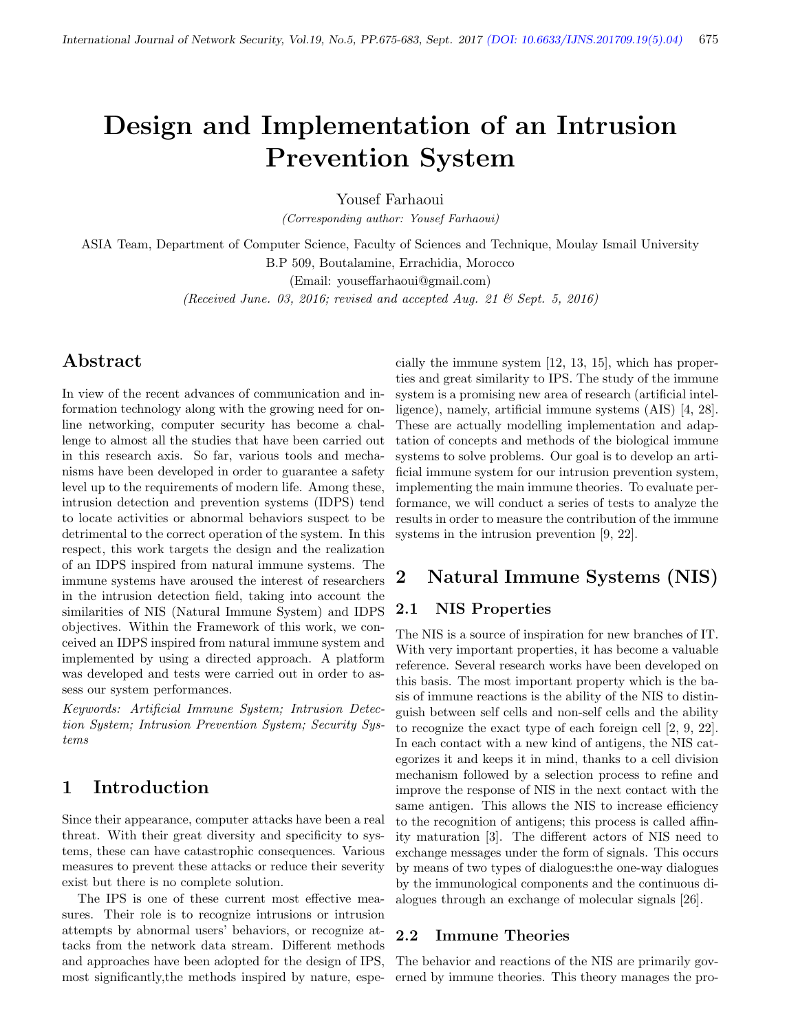# Design and Implementation of an Intrusion Prevention System

Yousef Farhaoui

(Corresponding author: Yousef Farhaoui)

ASIA Team, Department of Computer Science, Faculty of Sciences and Technique, Moulay Ismail University B.P 509, Boutalamine, Errachidia, Morocco

(Email: youseffarhaoui@gmail.com)

(Received June. 03, 2016; revised and accepted Aug. 21 & Sept. 5, 2016)

# Abstract

In view of the recent advances of communication and information technology along with the growing need for online networking, computer security has become a challenge to almost all the studies that have been carried out in this research axis. So far, various tools and mechanisms have been developed in order to guarantee a safety level up to the requirements of modern life. Among these, intrusion detection and prevention systems (IDPS) tend to locate activities or abnormal behaviors suspect to be detrimental to the correct operation of the system. In this respect, this work targets the design and the realization of an IDPS inspired from natural immune systems. The immune systems have aroused the interest of researchers in the intrusion detection field, taking into account the similarities of NIS (Natural Immune System) and IDPS objectives. Within the Framework of this work, we conceived an IDPS inspired from natural immune system and implemented by using a directed approach. A platform was developed and tests were carried out in order to assess our system performances.

Keywords: Artificial Immune System; Intrusion Detection System; Intrusion Prevention System; Security Systems

# 1 Introduction

Since their appearance, computer attacks have been a real threat. With their great diversity and specificity to systems, these can have catastrophic consequences. Various measures to prevent these attacks or reduce their severity exist but there is no complete solution.

The IPS is one of these current most effective measures. Their role is to recognize intrusions or intrusion attempts by abnormal users' behaviors, or recognize attacks from the network data stream. Different methods and approaches have been adopted for the design of IPS, most significantly,the methods inspired by nature, espe-

cially the immune system [12, 13, 15], which has properties and great similarity to IPS. The study of the immune system is a promising new area of research (artificial intelligence), namely, artificial immune systems (AIS) [4, 28]. These are actually modelling implementation and adaptation of concepts and methods of the biological immune systems to solve problems. Our goal is to develop an artificial immune system for our intrusion prevention system, implementing the main immune theories. To evaluate performance, we will conduct a series of tests to analyze the results in order to measure the contribution of the immune systems in the intrusion prevention [9, 22].

# 2 Natural Immune Systems (NIS)

#### 2.1 NIS Properties

The NIS is a source of inspiration for new branches of IT. With very important properties, it has become a valuable reference. Several research works have been developed on this basis. The most important property which is the basis of immune reactions is the ability of the NIS to distinguish between self cells and non-self cells and the ability to recognize the exact type of each foreign cell [2, 9, 22]. In each contact with a new kind of antigens, the NIS categorizes it and keeps it in mind, thanks to a cell division mechanism followed by a selection process to refine and improve the response of NIS in the next contact with the same antigen. This allows the NIS to increase efficiency to the recognition of antigens; this process is called affinity maturation [3]. The different actors of NIS need to exchange messages under the form of signals. This occurs by means of two types of dialogues:the one-way dialogues by the immunological components and the continuous dialogues through an exchange of molecular signals [26].

#### 2.2 Immune Theories

The behavior and reactions of the NIS are primarily governed by immune theories. This theory manages the pro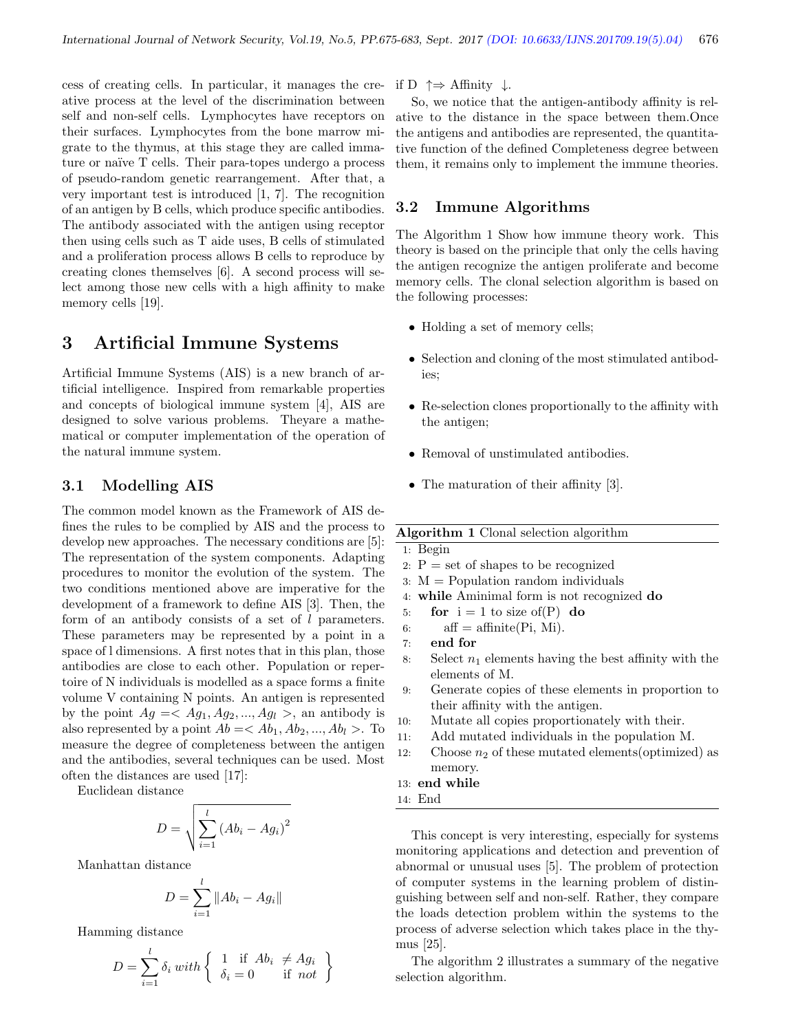cess of creating cells. In particular, it manages the creative process at the level of the discrimination between self and non-self cells. Lymphocytes have receptors on their surfaces. Lymphocytes from the bone marrow migrate to the thymus, at this stage they are called immature or naïve T cells. Their para-topes undergo a process of pseudo-random genetic rearrangement. After that, a very important test is introduced [1, 7]. The recognition of an antigen by B cells, which produce specific antibodies. The antibody associated with the antigen using receptor then using cells such as T aide uses, B cells of stimulated and a proliferation process allows B cells to reproduce by creating clones themselves [6]. A second process will select among those new cells with a high affinity to make memory cells [19].

# 3 Artificial Immune Systems

Artificial Immune Systems (AIS) is a new branch of artificial intelligence. Inspired from remarkable properties and concepts of biological immune system [4], AIS are designed to solve various problems. Theyare a mathematical or computer implementation of the operation of the natural immune system.

### 3.1 Modelling AIS

The common model known as the Framework of AIS defines the rules to be complied by AIS and the process to develop new approaches. The necessary conditions are [5]: The representation of the system components. Adapting procedures to monitor the evolution of the system. The two conditions mentioned above are imperative for the development of a framework to define AIS [3]. Then, the form of an antibody consists of a set of l parameters. These parameters may be represented by a point in a space of l dimensions. A first notes that in this plan, those antibodies are close to each other. Population or repertoire of N individuals is modelled as a space forms a finite volume V containing N points. An antigen is represented by the point  $Ag = \langle Ag_1, Ag_2, ..., Ag_l \rangle$ , an antibody is also represented by a point  $Ab = \langle Ab_1, Ab_2, ..., Ab_l \rangle$ . To measure the degree of completeness between the antigen and the antibodies, several techniques can be used. Most often the distances are used [17]:

Euclidean distance

$$
D = \sqrt{\sum_{i=1}^{l} (Ab_i - Ag_i)^2}
$$

Manhattan distance

$$
D = \sum_{i=1}^{l} \|Ab_i - Ag_i\|
$$

Hamming distance

$$
D = \sum_{i=1}^{l} \delta_i \ with \begin{cases} 1 & \text{if } Ab_i \neq Ag_i \\ \delta_i = 0 & \text{if } not \end{cases}
$$

if D  $\uparrow \Rightarrow$  Affinity ↓.

So, we notice that the antigen-antibody affinity is relative to the distance in the space between them.Once the antigens and antibodies are represented, the quantitative function of the defined Completeness degree between them, it remains only to implement the immune theories.

### 3.2 Immune Algorithms

The Algorithm 1 Show how immune theory work. This theory is based on the principle that only the cells having the antigen recognize the antigen proliferate and become memory cells. The clonal selection algorithm is based on the following processes:

- Holding a set of memory cells;
- Selection and cloning of the most stimulated antibodies;
- Re-selection clones proportionally to the affinity with the antigen;
- Removal of unstimulated antibodies.
- The maturation of their affinity [3].

#### Algorithm 1 Clonal selection algorithm

1: Begin

- 2:  $P = set of shapes to be recognized$
- 3: M = Population random individuals
- 4: while Aminimal form is not recognized do
- 5: for  $i = 1$  to size of  $(P)$  do

$$
6: \qquad \text{aff} = \text{affinite}(Pi, Mi).
$$

- 7: end for
- 8: Select  $n_1$  elements having the best affinity with the elements of M.
- 9: Generate copies of these elements in proportion to their affinity with the antigen.
- 10: Mutate all copies proportionately with their.
- 11: Add mutated individuals in the population M.
- 12: Choose  $n_2$  of these mutated elements (optimized) as memory.

#### 13: end while

14: End

This concept is very interesting, especially for systems monitoring applications and detection and prevention of abnormal or unusual uses [5]. The problem of protection of computer systems in the learning problem of distinguishing between self and non-self. Rather, they compare the loads detection problem within the systems to the process of adverse selection which takes place in the thymus [25].

The algorithm 2 illustrates a summary of the negative selection algorithm.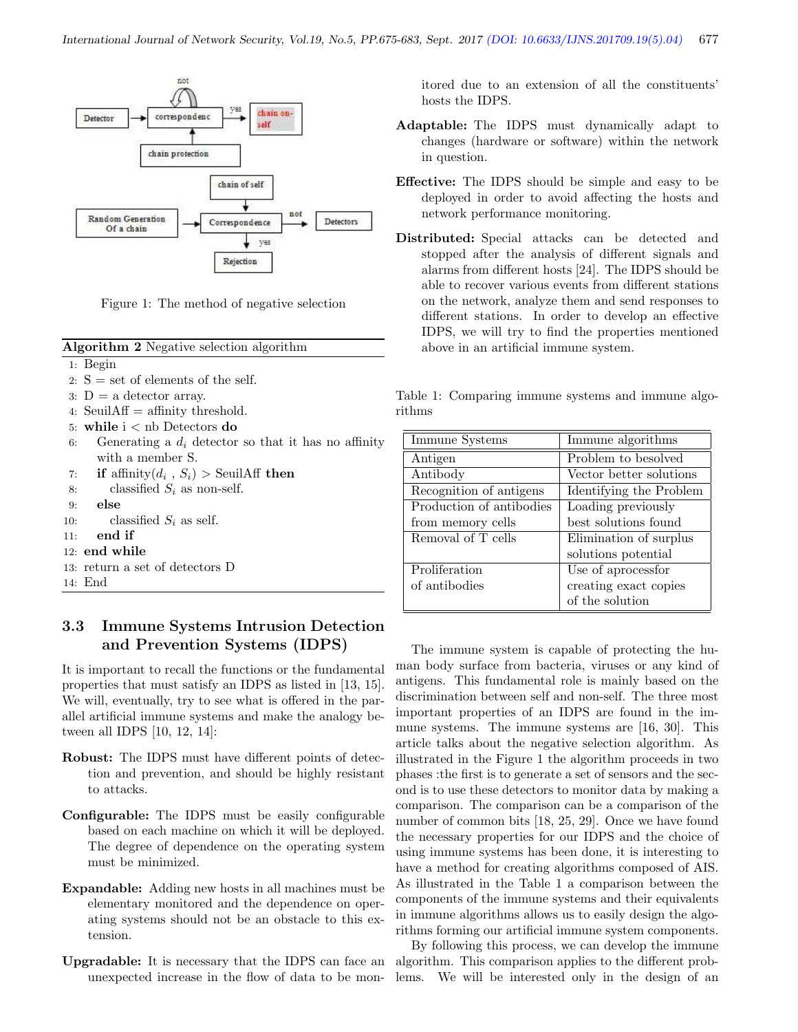

Figure 1: The method of negative selection

Algorithm 2 Negative selection algorithm

- 1: Begin
- 2:  $S = set of elements of the self.$
- 3:  $D = a$  detector array.
- 4: Seuil $Aff =$ affinity threshold.
- 5: while i < nb Detectors do
- 6: Generating a  $d_i$  detector so that it has no affinity with a member S.
- 7: if affinity $(d_i, S_i) >$  SeuilAff then
- 8: classified  $S_i$  as non-self.
- 9: else
- 10: classified  $S_i$  as self.
- 11: end if
- 12: end while
- 13: return a set of detectors D
- 14: End

## 3.3 Immune Systems Intrusion Detection and Prevention Systems (IDPS)

It is important to recall the functions or the fundamental properties that must satisfy an IDPS as listed in [13, 15]. We will, eventually, try to see what is offered in the parallel artificial immune systems and make the analogy between all IDPS [10, 12, 14]:

- Robust: The IDPS must have different points of detection and prevention, and should be highly resistant to attacks.
- Configurable: The IDPS must be easily configurable based on each machine on which it will be deployed. The degree of dependence on the operating system must be minimized.
- Expandable: Adding new hosts in all machines must be elementary monitored and the dependence on operating systems should not be an obstacle to this extension.
- Upgradable: It is necessary that the IDPS can face an unexpected increase in the flow of data to be mon-

itored due to an extension of all the constituents' hosts the IDPS.

- Adaptable: The IDPS must dynamically adapt to changes (hardware or software) within the network in question.
- Effective: The IDPS should be simple and easy to be deployed in order to avoid affecting the hosts and network performance monitoring.
- Distributed: Special attacks can be detected and stopped after the analysis of different signals and alarms from different hosts [24]. The IDPS should be able to recover various events from different stations on the network, analyze them and send responses to different stations. In order to develop an effective IDPS, we will try to find the properties mentioned above in an artificial immune system.

Table 1: Comparing immune systems and immune algorithms

| Immune Systems           | Immune algorithms       |  |  |
|--------------------------|-------------------------|--|--|
| Antigen                  | Problem to be solved    |  |  |
| Antibody                 | Vector better solutions |  |  |
| Recognition of antigens  | Identifying the Problem |  |  |
| Production of antibodies | Loading previously      |  |  |
| from memory cells        | best solutions found    |  |  |
| Removal of T cells       | Elimination of surplus  |  |  |
|                          | solutions potential     |  |  |
| Proliferation            | Use of aprocessfor      |  |  |
| of antibodies            | creating exact copies   |  |  |
|                          | of the solution         |  |  |

The immune system is capable of protecting the human body surface from bacteria, viruses or any kind of antigens. This fundamental role is mainly based on the discrimination between self and non-self. The three most important properties of an IDPS are found in the immune systems. The immune systems are [16, 30]. This article talks about the negative selection algorithm. As illustrated in the Figure 1 the algorithm proceeds in two phases :the first is to generate a set of sensors and the second is to use these detectors to monitor data by making a comparison. The comparison can be a comparison of the number of common bits [18, 25, 29]. Once we have found the necessary properties for our IDPS and the choice of using immune systems has been done, it is interesting to have a method for creating algorithms composed of AIS. As illustrated in the Table 1 a comparison between the components of the immune systems and their equivalents in immune algorithms allows us to easily design the algorithms forming our artificial immune system components.

By following this process, we can develop the immune algorithm. This comparison applies to the different problems. We will be interested only in the design of an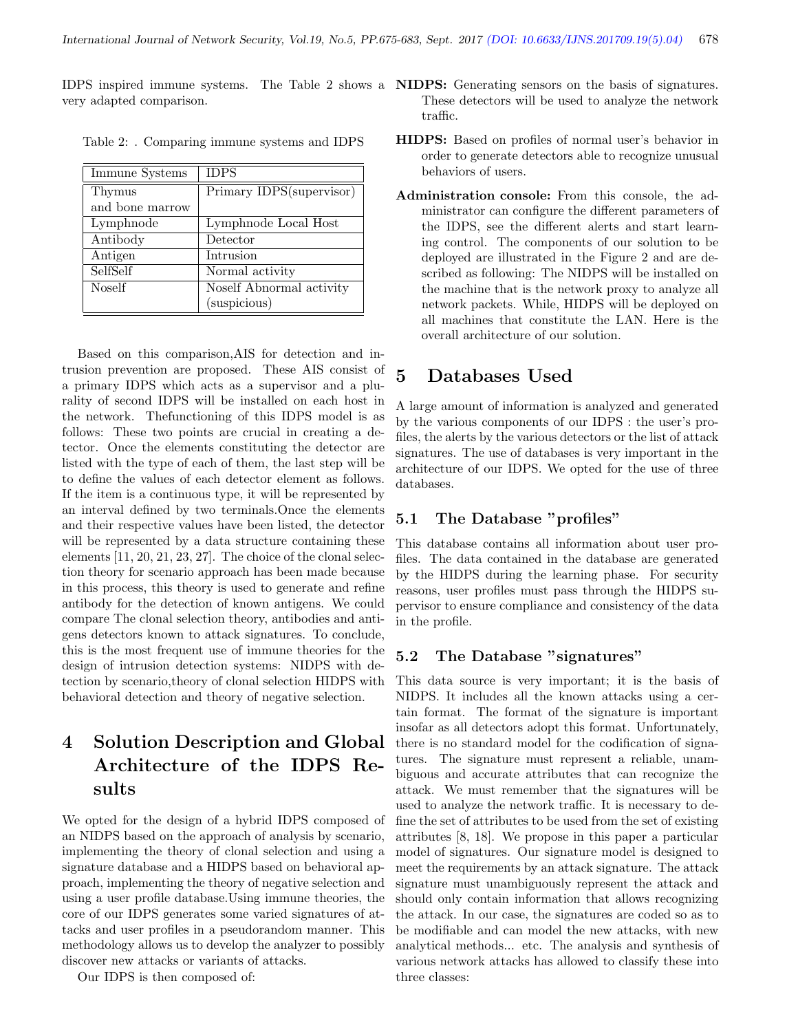IDPS inspired immune systems. The Table 2 shows a NIDPS: Generating sensors on the basis of signatures. very adapted comparison.

| Immune Systems  | <b>IDPS</b>              |
|-----------------|--------------------------|
| Thymus          | Primary IDPS(supervisor) |
| and bone marrow |                          |
| Lymphnode       | Lymphnode Local Host     |
| Antibody        | Detector                 |
| Antigen         | Intrusion                |
| SelfSelf        | Normal activity          |
| <b>Noself</b>   | Noself Abnormal activity |
|                 | (suspicious)             |

Table 2: . Comparing immune systems and IDPS

Based on this comparison,AIS for detection and intrusion prevention are proposed. These AIS consist of a primary IDPS which acts as a supervisor and a plurality of second IDPS will be installed on each host in the network. Thefunctioning of this IDPS model is as follows: These two points are crucial in creating a detector. Once the elements constituting the detector are listed with the type of each of them, the last step will be to define the values of each detector element as follows. If the item is a continuous type, it will be represented by an interval defined by two terminals.Once the elements and their respective values have been listed, the detector will be represented by a data structure containing these elements [11, 20, 21, 23, 27]. The choice of the clonal selection theory for scenario approach has been made because in this process, this theory is used to generate and refine antibody for the detection of known antigens. We could compare The clonal selection theory, antibodies and antigens detectors known to attack signatures. To conclude, this is the most frequent use of immune theories for the design of intrusion detection systems: NIDPS with detection by scenario,theory of clonal selection HIDPS with behavioral detection and theory of negative selection.

# 4 Solution Description and Global Architecture of the IDPS Results

We opted for the design of a hybrid IDPS composed of an NIDPS based on the approach of analysis by scenario, implementing the theory of clonal selection and using a signature database and a HIDPS based on behavioral approach, implementing the theory of negative selection and using a user profile database.Using immune theories, the core of our IDPS generates some varied signatures of attacks and user profiles in a pseudorandom manner. This methodology allows us to develop the analyzer to possibly discover new attacks or variants of attacks.

Our IDPS is then composed of:

- These detectors will be used to analyze the network traffic.
- HIDPS: Based on profiles of normal user's behavior in order to generate detectors able to recognize unusual behaviors of users.
- Administration console: From this console, the administrator can configure the different parameters of the IDPS, see the different alerts and start learning control. The components of our solution to be deployed are illustrated in the Figure 2 and are described as following: The NIDPS will be installed on the machine that is the network proxy to analyze all network packets. While, HIDPS will be deployed on all machines that constitute the LAN. Here is the overall architecture of our solution.

# 5 Databases Used

A large amount of information is analyzed and generated by the various components of our IDPS : the user's profiles, the alerts by the various detectors or the list of attack signatures. The use of databases is very important in the architecture of our IDPS. We opted for the use of three databases.

### 5.1 The Database "profiles"

This database contains all information about user profiles. The data contained in the database are generated by the HIDPS during the learning phase. For security reasons, user profiles must pass through the HIDPS supervisor to ensure compliance and consistency of the data in the profile.

### 5.2 The Database "signatures"

This data source is very important; it is the basis of NIDPS. It includes all the known attacks using a certain format. The format of the signature is important insofar as all detectors adopt this format. Unfortunately, there is no standard model for the codification of signatures. The signature must represent a reliable, unambiguous and accurate attributes that can recognize the attack. We must remember that the signatures will be used to analyze the network traffic. It is necessary to define the set of attributes to be used from the set of existing attributes [8, 18]. We propose in this paper a particular model of signatures. Our signature model is designed to meet the requirements by an attack signature. The attack signature must unambiguously represent the attack and should only contain information that allows recognizing the attack. In our case, the signatures are coded so as to be modifiable and can model the new attacks, with new analytical methods... etc. The analysis and synthesis of various network attacks has allowed to classify these into three classes: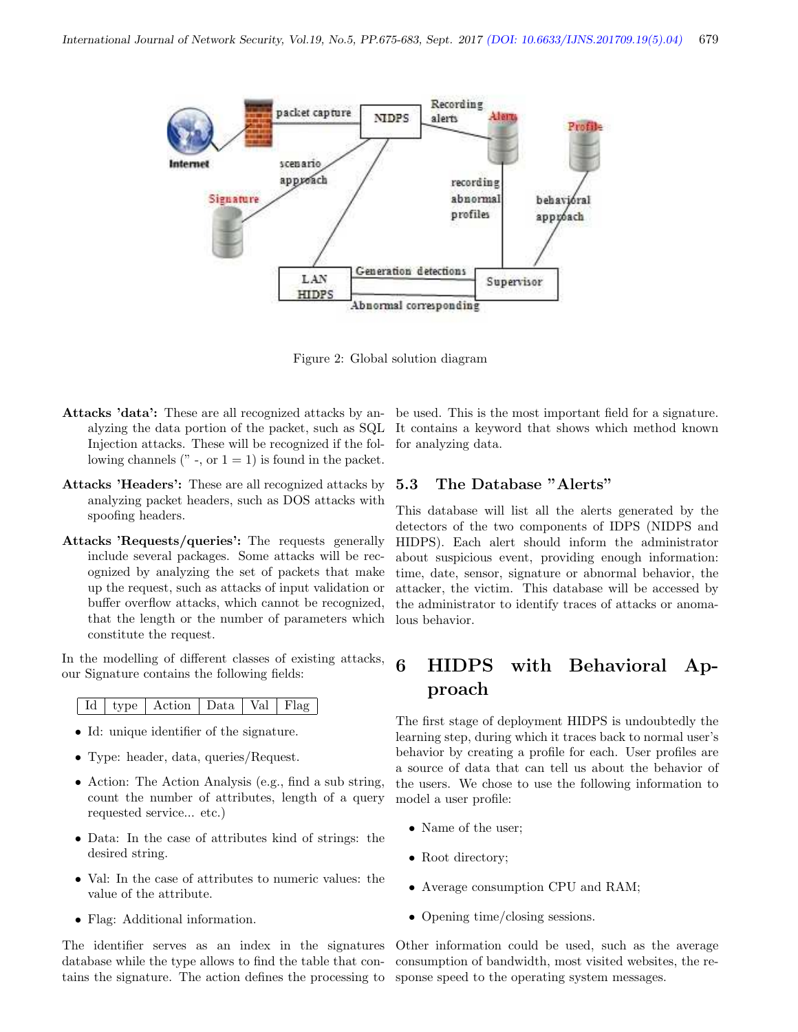

Figure 2: Global solution diagram

- Injection attacks. These will be recognized if the following channels ( $"$ , or  $1 = 1$ ) is found in the packet.
- Attacks 'Headers': These are all recognized attacks by analyzing packet headers, such as DOS attacks with spoofing headers.
- Attacks 'Requests/queries': The requests generally include several packages. Some attacks will be recognized by analyzing the set of packets that make up the request, such as attacks of input validation or buffer overflow attacks, which cannot be recognized, that the length or the number of parameters which constitute the request.

In the modelling of different classes of existing attacks, our Signature contains the following fields:

|  |  | Id   type   Action   Data   Val   Flag |  |  |  |
|--|--|----------------------------------------|--|--|--|
|--|--|----------------------------------------|--|--|--|

- Id: unique identifier of the signature.
- Type: header, data, queries/Request.
- Action: The Action Analysis (e.g., find a sub string, count the number of attributes, length of a query requested service... etc.)
- Data: In the case of attributes kind of strings: the desired string.
- Val: In the case of attributes to numeric values: the value of the attribute.
- Flag: Additional information.

The identifier serves as an index in the signatures database while the type allows to find the table that contains the signature. The action defines the processing to sponse speed to the operating system messages.

Attacks 'data': These are all recognized attacks by an-be used. This is the most important field for a signature. alyzing the data portion of the packet, such as SQL It contains a keyword that shows which method known for analyzing data.

#### 5.3 The Database "Alerts"

This database will list all the alerts generated by the detectors of the two components of IDPS (NIDPS and HIDPS). Each alert should inform the administrator about suspicious event, providing enough information: time, date, sensor, signature or abnormal behavior, the attacker, the victim. This database will be accessed by the administrator to identify traces of attacks or anomalous behavior.

# 6 HIDPS with Behavioral Approach

The first stage of deployment HIDPS is undoubtedly the learning step, during which it traces back to normal user's behavior by creating a profile for each. User profiles are a source of data that can tell us about the behavior of the users. We chose to use the following information to model a user profile:

- Name of the user;
- Root directory;
- Average consumption CPU and RAM;
- Opening time/closing sessions.

Other information could be used, such as the average consumption of bandwidth, most visited websites, the re-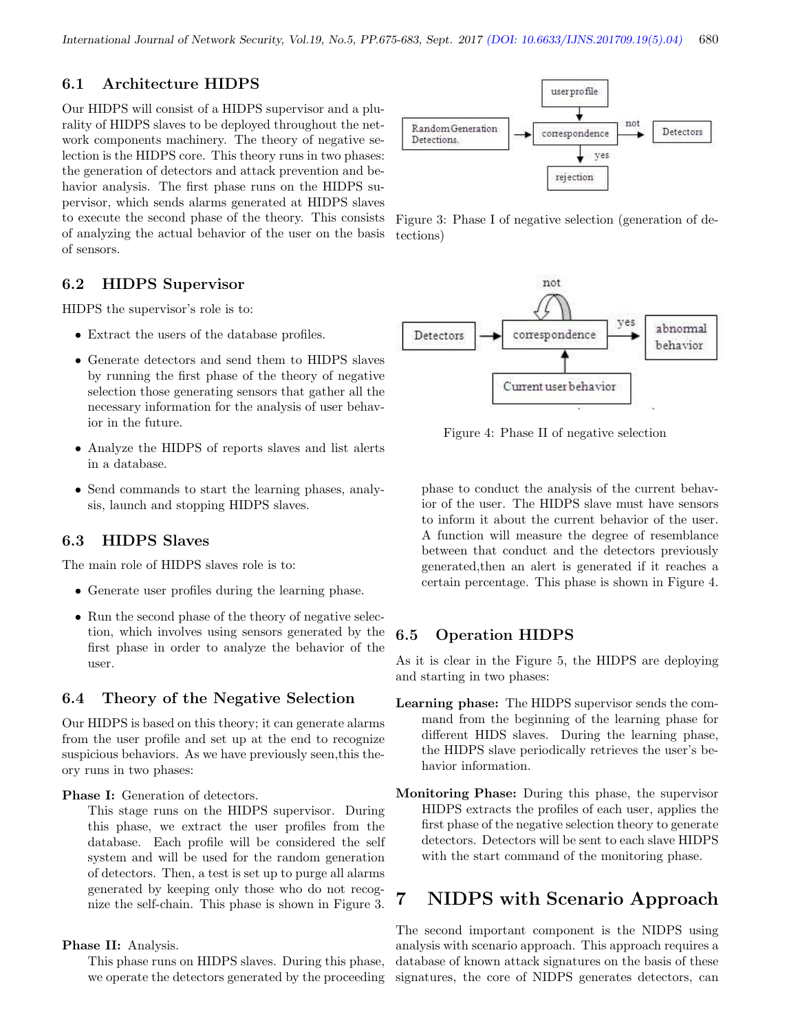## 6.1 Architecture HIDPS

Our HIDPS will consist of a HIDPS supervisor and a plurality of HIDPS slaves to be deployed throughout the network components machinery. The theory of negative selection is the HIDPS core. This theory runs in two phases: the generation of detectors and attack prevention and behavior analysis. The first phase runs on the HIDPS supervisor, which sends alarms generated at HIDPS slaves to execute the second phase of the theory. This consists of analyzing the actual behavior of the user on the basis of sensors.

### 6.2 HIDPS Supervisor

HIDPS the supervisor's role is to:

- Extract the users of the database profiles.
- Generate detectors and send them to HIDPS slaves by running the first phase of the theory of negative selection those generating sensors that gather all the necessary information for the analysis of user behavior in the future.
- Analyze the HIDPS of reports slaves and list alerts in a database.
- Send commands to start the learning phases, analysis, launch and stopping HIDPS slaves.

### 6.3 HIDPS Slaves

The main role of HIDPS slaves role is to:

- Generate user profiles during the learning phase.
- Run the second phase of the theory of negative selection, which involves using sensors generated by the first phase in order to analyze the behavior of the user.

### 6.4 Theory of the Negative Selection

Our HIDPS is based on this theory; it can generate alarms from the user profile and set up at the end to recognize suspicious behaviors. As we have previously seen,this theory runs in two phases:

Phase I: Generation of detectors.

This stage runs on the HIDPS supervisor. During this phase, we extract the user profiles from the database. Each profile will be considered the self system and will be used for the random generation of detectors. Then, a test is set up to purge all alarms generated by keeping only those who do not recognize the self-chain. This phase is shown in Figure 3.

#### Phase II: Analysis.

This phase runs on HIDPS slaves. During this phase, we operate the detectors generated by the proceeding



Figure 3: Phase I of negative selection (generation of detections)



Figure 4: Phase II of negative selection

phase to conduct the analysis of the current behavior of the user. The HIDPS slave must have sensors to inform it about the current behavior of the user. A function will measure the degree of resemblance between that conduct and the detectors previously generated,then an alert is generated if it reaches a certain percentage. This phase is shown in Figure 4.

### 6.5 Operation HIDPS

As it is clear in the Figure 5, the HIDPS are deploying and starting in two phases:

- Learning phase: The HIDPS supervisor sends the command from the beginning of the learning phase for different HIDS slaves. During the learning phase, the HIDPS slave periodically retrieves the user's behavior information.
- Monitoring Phase: During this phase, the supervisor HIDPS extracts the profiles of each user, applies the first phase of the negative selection theory to generate detectors. Detectors will be sent to each slave HIDPS with the start command of the monitoring phase.

# 7 NIDPS with Scenario Approach

The second important component is the NIDPS using analysis with scenario approach. This approach requires a database of known attack signatures on the basis of these signatures, the core of NIDPS generates detectors, can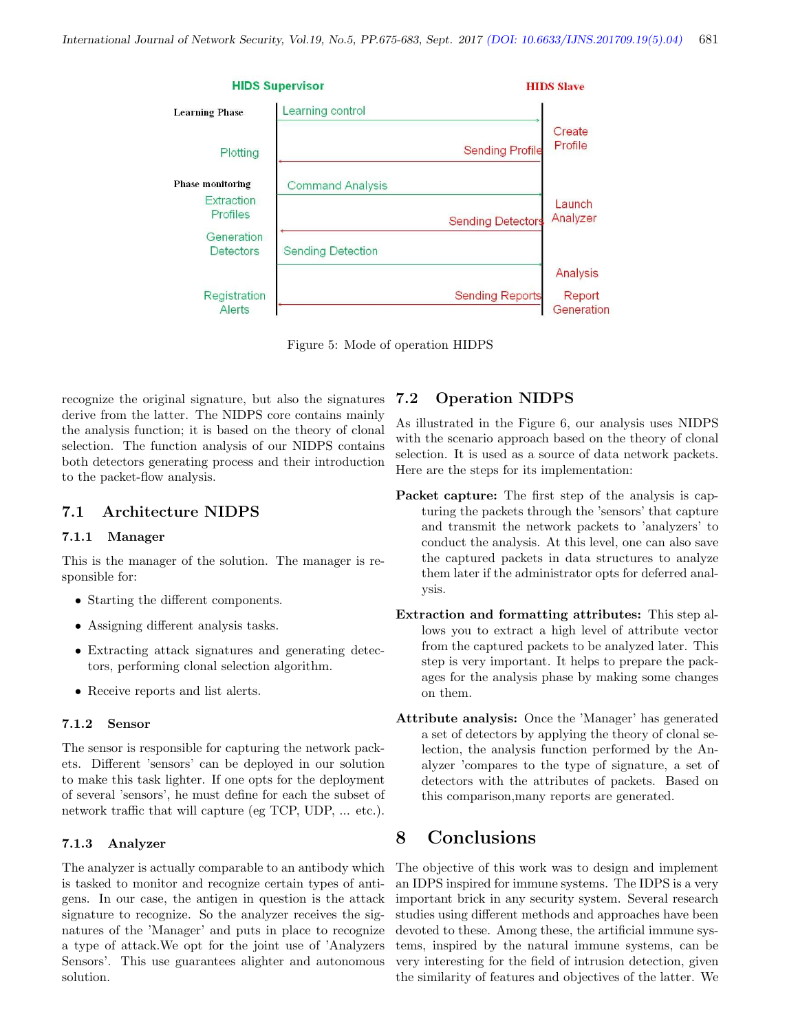

Figure 5: Mode of operation HIDPS

recognize the original signature, but also the signatures derive from the latter. The NIDPS core contains mainly the analysis function; it is based on the theory of clonal selection. The function analysis of our NIDPS contains both detectors generating process and their introduction to the packet-flow analysis.

### 7.1 Architecture NIDPS

#### 7.1.1 Manager

This is the manager of the solution. The manager is responsible for:

- Starting the different components.
- Assigning different analysis tasks.
- Extracting attack signatures and generating detectors, performing clonal selection algorithm.
- Receive reports and list alerts.

#### 7.1.2 Sensor

The sensor is responsible for capturing the network packets. Different 'sensors' can be deployed in our solution to make this task lighter. If one opts for the deployment of several 'sensors', he must define for each the subset of network traffic that will capture (eg TCP, UDP, ... etc.).

#### 7.1.3 Analyzer

The analyzer is actually comparable to an antibody which is tasked to monitor and recognize certain types of antigens. In our case, the antigen in question is the attack signature to recognize. So the analyzer receives the signatures of the 'Manager' and puts in place to recognize a type of attack.We opt for the joint use of 'Analyzers Sensors'. This use guarantees alighter and autonomous solution.

### 7.2 Operation NIDPS

As illustrated in the Figure 6, our analysis uses NIDPS with the scenario approach based on the theory of clonal selection. It is used as a source of data network packets. Here are the steps for its implementation:

- Packet capture: The first step of the analysis is capturing the packets through the 'sensors' that capture and transmit the network packets to 'analyzers' to conduct the analysis. At this level, one can also save the captured packets in data structures to analyze them later if the administrator opts for deferred analysis.
- Extraction and formatting attributes: This step allows you to extract a high level of attribute vector from the captured packets to be analyzed later. This step is very important. It helps to prepare the packages for the analysis phase by making some changes on them.
- Attribute analysis: Once the 'Manager' has generated a set of detectors by applying the theory of clonal selection, the analysis function performed by the Analyzer 'compares to the type of signature, a set of detectors with the attributes of packets. Based on this comparison,many reports are generated.

# 8 Conclusions

The objective of this work was to design and implement an IDPS inspired for immune systems. The IDPS is a very important brick in any security system. Several research studies using different methods and approaches have been devoted to these. Among these, the artificial immune systems, inspired by the natural immune systems, can be very interesting for the field of intrusion detection, given the similarity of features and objectives of the latter. We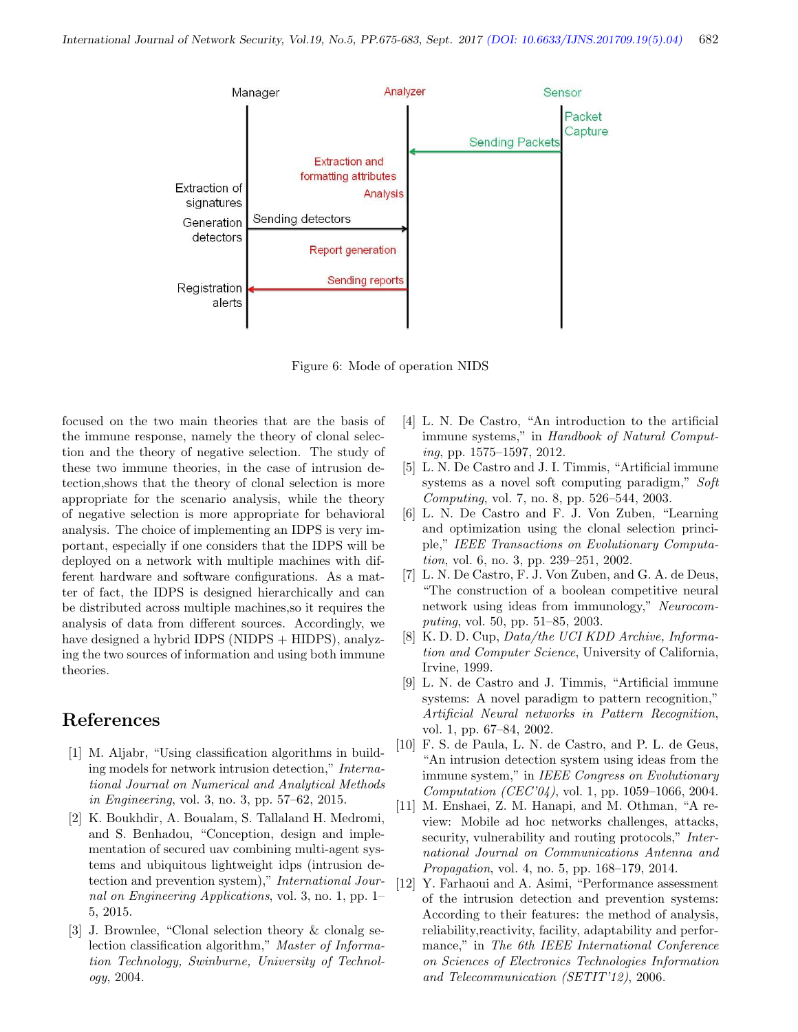

Figure 6: Mode of operation NIDS

focused on the two main theories that are the basis of the immune response, namely the theory of clonal selection and the theory of negative selection. The study of these two immune theories, in the case of intrusion detection,shows that the theory of clonal selection is more appropriate for the scenario analysis, while the theory of negative selection is more appropriate for behavioral analysis. The choice of implementing an IDPS is very important, especially if one considers that the IDPS will be deployed on a network with multiple machines with different hardware and software configurations. As a matter of fact, the IDPS is designed hierarchically and can be distributed across multiple machines,so it requires the analysis of data from different sources. Accordingly, we have designed a hybrid IDPS (NIDPS  $+$  HIDPS), analyzing the two sources of information and using both immune theories.

## References

- [1] M. Aljabr, "Using classification algorithms in building models for network intrusion detection," International Journal on Numerical and Analytical Methods in Engineering, vol. 3, no. 3, pp. 57–62, 2015.
- [2] K. Boukhdir, A. Boualam, S. Tallaland H. Medromi, and S. Benhadou, "Conception, design and implementation of secured uav combining multi-agent systems and ubiquitous lightweight idps (intrusion detection and prevention system)," International Journal on Engineering Applications, vol. 3, no. 1, pp. 1– 5, 2015.
- [3] J. Brownlee, "Clonal selection theory & clonalg selection classification algorithm," Master of Information Technology, Swinburne, University of Technology, 2004.
- [4] L. N. De Castro, "An introduction to the artificial immune systems," in Handbook of Natural Computing, pp. 1575–1597, 2012.
- [5] L. N. De Castro and J. I. Timmis, "Artificial immune systems as a novel soft computing paradigm," Soft Computing, vol. 7, no. 8, pp. 526–544, 2003.
- [6] L. N. De Castro and F. J. Von Zuben, "Learning and optimization using the clonal selection principle," IEEE Transactions on Evolutionary Computation, vol. 6, no. 3, pp. 239–251, 2002.
- [7] L. N. De Castro, F. J. Von Zuben, and G. A. de Deus, "The construction of a boolean competitive neural network using ideas from immunology," Neurocomputing, vol. 50, pp. 51–85, 2003.
- [8] K. D. D. Cup, Data/the UCI KDD Archive, Information and Computer Science, University of California, Irvine, 1999.
- [9] L. N. de Castro and J. Timmis, "Artificial immune systems: A novel paradigm to pattern recognition," Artificial Neural networks in Pattern Recognition, vol. 1, pp. 67–84, 2002.
- [10] F. S. de Paula, L. N. de Castro, and P. L. de Geus, "An intrusion detection system using ideas from the immune system," in IEEE Congress on Evolutionary Computation (CEC'04), vol. 1, pp. 1059–1066, 2004.
- [11] M. Enshaei, Z. M. Hanapi, and M. Othman, "A review: Mobile ad hoc networks challenges, attacks, security, vulnerability and routing protocols," International Journal on Communications Antenna and Propagation, vol. 4, no. 5, pp. 168–179, 2014.
- [12] Y. Farhaoui and A. Asimi, "Performance assessment of the intrusion detection and prevention systems: According to their features: the method of analysis, reliability,reactivity, facility, adaptability and performance," in The 6th IEEE International Conference on Sciences of Electronics Technologies Information and Telecommunication (SETIT'12), 2006.